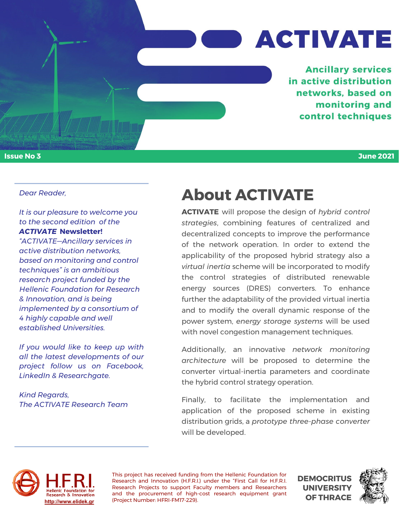

#### **Issue No 3 June 2021**

#### *Dear Reader,*

*It is our pleasure to welcome you to the second edition of the ACTIVATE* **Newsletter!** 

*"ACTIVATE—Ancillary services in active distribution networks, based on monitoring and control techniques" is an ambitious research project funded by the Hellenic Foundation for Research & Innovation, and is being implemented by a consortium of 4 highly capable and well established Universities.* 

*If you would like to keep up with all the latest developments of our project follow us on Facebook, LinkedIn & Researchgate.* 

*Kind Regards, The ACTIVATE Research Team*

# **About ACTIVATE**

**ACTIVATE** will propose the design of *hybrid control strategies*, combining features of centralized and decentralized concepts to improve the performance of the network operation. In order to extend the applicability of the proposed hybrid strategy also a *virtual inertia* scheme will be incorporated to modify the control strategies of distributed renewable energy sources (DRES) converters. To enhance further the adaptability of the provided virtual inertia and to modify the overall dynamic response of the power system, *energy storage systems* will be used with novel congestion management techniques.

Additionally, an innovative *network monitoring architecture* will be proposed to determine the converter virtual-inertia parameters and coordinate the hybrid control strategy operation.

Finally, to facilitate the implementation and application of the proposed scheme in existing distribution grids, a *prototype three-phase converter* will be developed.



This project has received funding from the Hellenic Foundation for Research and Innovation (H.F.R.I.) under the "First Call for H.F.R.I. Research Projects to support Faculty members and Researchers and the procurement of high-cost research equipment grant **http://www.elidek.gr** (Project Number: HFRI-FM17-229).

**DEMOCRITUS UNIVERSIT OF THRACE**

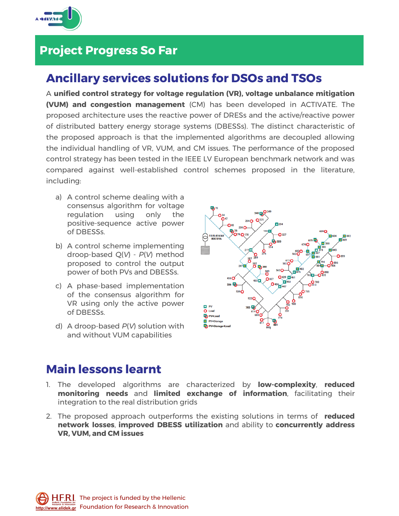

# **Project Progress So Far**

## **Ancillary services solutions for DSOs and TSOs**

A **unified control strategy for voltage regulation (VR), voltage unbalance mitigation (VUM) and congestion management** (CM) has been developed in ACTIVATE. The proposed architecture uses the reactive power of DRESs and the active/reactive power of distributed battery energy storage systems (DBESSs). The distinct characteristic of the proposed approach is that the implemented algorithms are decoupled allowing the individual handling of VR, VUM, and CM issues. The performance of the proposed control strategy has been tested in the IEEE LV European benchmark network and was compared against well-established control schemes proposed in the literature, including:

- a) A control scheme dealing with a consensus algorithm for voltage regulation using only the positive-sequence active power of DBESSs.
- b) A control scheme implementing droop-based *Q*(*V*) - *P*(*V*) method proposed to control the output power of both PVs and DBESSs.
- c) A phase-based implementation of the consensus algorithm for VR using only the active power of DBESSs.
- d) A droop-based *P*(*V*) solution with and without VUM capabilities



#### **Main lessons learnt**

- 1. The developed algorithms are characterized by **low-complexity**, **reduced monitoring needs** and **limited exchange of information**, facilitating their integration to the real distribution grids
- 2. The proposed approach outperforms the existing solutions in terms of **reduced network losses**, **improved DBESS utilization** and ability to **concurrently address VR, VUM, and CM issues**

 $H.F.R.$  The project is funded by the Hellenic **http://www.elidek.gr** Foundation for Research & Innovation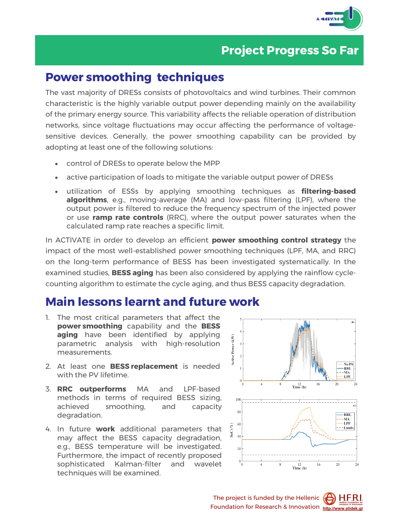

## **Project Progress So Far**

#### **Power smoothing techniques**

The vast majority of DRESs consists of photovoltaics and wind turbines. Their common characteristic is the highly variable output power depending mainly on the availability of the primary energy source. This variability affects the reliable operation of distribution networks, since voltage fluctuations may occur affecting the performance of voltagesensitive devices. Generally, the power smoothing capability can be provided by adopting at least one of the following solutions:

- control of DRESs to operate below the MPP
- active participation of loads to mitigate the variable output power of DRESs
- utilization of ESSs by applying smoothing techniques as **filtering-based algorithms**, e.g., moving-average (MA) and low-pass filtering (LPF), where the output power is filtered to reduce the frequency spectrum of the injected power or use **ramp rate controls** (RRC), where the output power saturates when the calculated ramp rate reaches a specific limit.

In ACTIVATE in order to develop an efficient **power smoothing control strategy** the impact of the most well-established power smoothing techniques (LPF, MA, and RRC) on the long-term performance of BESS has been investigated systematically. In the examined studies, **BESS aging** has been also considered by applying the rainflow cyclecounting algorithm to estimate the cycle aging, and thus BESS capacity degradation.

#### **Main lessons learnt and future work**

- 1. The most critical parameters that affect the **power smoothing** capability and the **BESS aging** have been identified by applying parametric analysis with high-resolution measurements.
- 2. At least one **BESS replacement** is needed with the PV lifetime.
- 3. **RRC outperforms** MA and LPF-based methods in terms of required BESS sizing, achieved smoothing, and capacity degradation.
- 4. In future **work** additional parameters that may affect the BESS capacity degradation, e.g., BESS temperature will be investigated. Furthermore, the impact of recently proposed sophisticated Kalman-filter and wavelet techniques will be examined.



The project is funded by the Hellenic  $\oint$ H.F.R.I. Foundation for Research & Innovation **http://www.elidek.gr**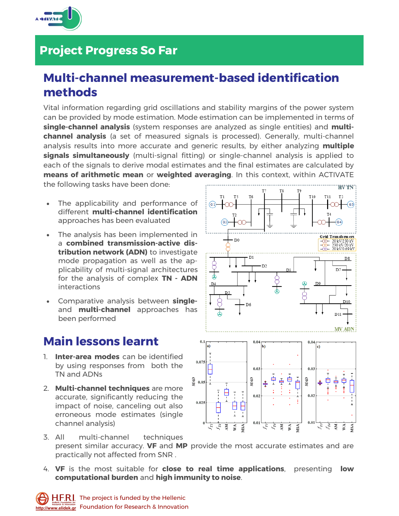

# **Project Progress So Far**

## **Multi-channel measurement-based identification methods**

Vital information regarding grid oscillations and stability margins of the power system can be provided by mode estimation. Mode estimation can be implemented in terms of **single-channel analysis** (system responses are analyzed as single entities) and **multichannel analysis** (a set of measured signals is processed). Generally, multi-channel analysis results into more accurate and generic results, by either analyzing **multiple signals simultaneously** (multi-signal fitting) or single-channel analysis is applied to each of the signals to derive modal estimates and the final estimates are calculated by **means of arithmetic mean** or **weighted averaging**. In this context, within ACTIVATE the following tasks have been done:

- The applicability and performance of different **multi-channel identification** approaches has been evaluated
- The analysis has been implemented in a **combined transmission-active distribution network (ADN)** to investigate mode propagation as well as the applicability of multi-signal architectures for the analysis of complex **TN - ADN** interactions
- Comparative analysis between **single**and **multi-channel** approaches has been performed

#### **Main lessons learnt**

- 1. **Inter-area modes** can be identified by using responses from both the TN and ADNs
- 2. **Multi-channel techniques** are more accurate, significantly reducing the impact of noise, canceling out also erroneous mode estimates (single channel analysis)



4. **VF** is the most suitable for **close to real time applications**, presenting **low computational burden** and **high immunity to noise**.



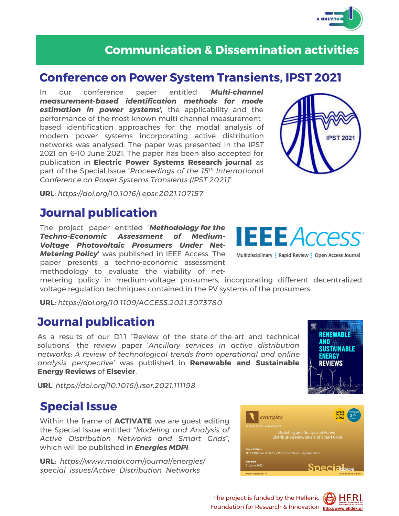

**IPST 2021** 

#### **Communication & Dissemination activities**

#### **Conference on Power System Transients, IPST 2021**

In our conference paper entitled '*Multi-channel measurement-based identification methods for mode estimation in power systems',* the applicability and the performance of the most known multi-channel measurementbased identification approaches for the modal analysis of modern power systems incorporating active distribution networks was analysed. The paper was presented in the IPST 2021 on 6-10 June 2021. The paper has been also accepted for publication in **Electric Power Systems Research journal** as part of the Special Issue "*Proceedings of the 15th International Conference on Power Systems Transients (IPST 2021)*".

**URL**: *https://doi.org/10.1016/j.epsr.2021.107157* 

## **Journal publication**

The project paper entitled '*Methodology for the Techno-Economic Assessment of Medium-Voltage Photovoltaic Prosumers Under Net-Metering Policy***'** was published in IEEE Access. The paper presents a techno-economic assessment methodology to evaluate the viability of net-

metering policy in medium-voltage prosumers, incorporating different decentralized voltage regulation techniques contained in the PV systems of the prosumers.

**URL**: *https://doi.org/10.1109/ACCESS.2021.3073780*

#### **Journal publication**

As a results of our D1.1 "Review of the state-of-the-art and technical solutions" the review paper '*Ancillary services in active distribution networks: A review of technological trends from operational and online analysis perspective'* was published in **Renewable and Sustainable Energy Reviews** of **Elsevier**.

**URL**: *https://doi.org/10.1016/j.rser.2021.111198*

## **Special Issue**

Within the frame of **ACTIVATE** we are guest editing the Special Issue entitled "*Modeling and Analysis of Active Distribution Networks and Smart Grids*", which will be published in *Energies MDPI*.

**URL**: *https://www.mdpi.com/journal/energies/ special\_issues/Active\_Distribution\_Networks*



**IEEE** Access

Multidisciplinary: Rapid Review: Open Access Journal

霽

**RENEWABLE AND** 

**SUSTAINABLE ENERGY REVIEWS** 

The project is funded by the Hellenic  $\left\langle \right\rangle$ Foundation for Research & Innovation **http://www.elidek.gr**